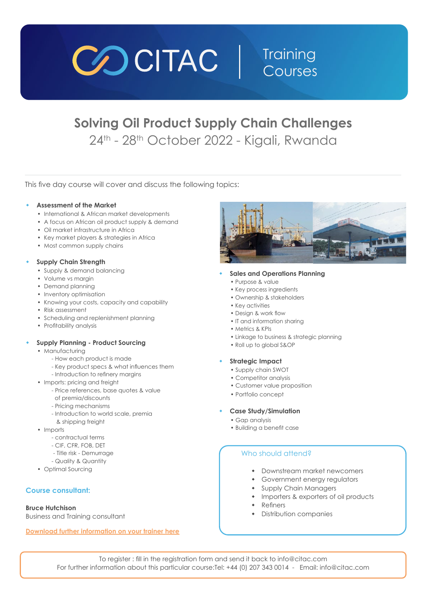

# **Solving Oil Product Supply Chain Challenges** 24<sup>th</sup> - 28<sup>th</sup> October 2022 - Kigali, Rwanda

This five day course will cover and discuss the following topics:

### **Assessment of the Market**

- International & African market developments
- A focus on African oil product supply & demand
- Oil market infrastructure in Africa
- Key market players & strategies in Africa
- Most common supply chains

### **Supply Chain Strength**

- Supply & demand balancing
- Volume vs margin
- Demand planning
- Inventory optimisation
- Knowing your costs, capacity and capability
- Risk assessment
- Scheduling and replenishment planning
- Profitability analysis

### **Supply Planning - Product Sourcing**

- Manufacturing
	- How each product is made
	- Key product specs & what influences them
	- Introduction to refinery margins
- Imports: pricing and freight
	- Price references, base quotes & value
	- of premia/discounts
	- Pricing mechanisms
	- Introduction to world scale, premia & shipping freight
- Imports
	- contractual terms
	- CIF, CFR, FOB, DET
	- Title risk Demurrage
	- Quality & Quantity
- Optimal Sourcing

### **Course consultant:**

### **Bruce Hutchison**

Business and Training consultant

**[Download further information on your trainer here](https://www.citac.com/public/Supply-chain-trainers.pdf)**



### **Sales and Operations Planning**

- Purpose & value
- Key process ingredients
- Ownership & stakeholders
- Key activities
- Design & work flow
- IT and information sharing
- Metrics & KPIs
- Linkage to business & strategic planning

**Training** 

Courses

• Roll up to global S&OP

### w **Strategic Impact**

- Supply chain SWOT
- Competitor analysis
- Customer value proposition
- Portfolio concept

### w **Case Study/Simulation**

- Gap analysis
- Building a benefit case

### Who should attend?

- Downstream market newcomers
- Government energy regulators
- Supply Chain Managers
- Importers & exporters of oil products
- $\leftarrow$  Refiners
- **\*** Distribution companies

To register : fill in the registration form and send it back to info@citac.com For further information about this particular course:Tel: +44 (0) 207 343 0014 - Email: info@citac.com